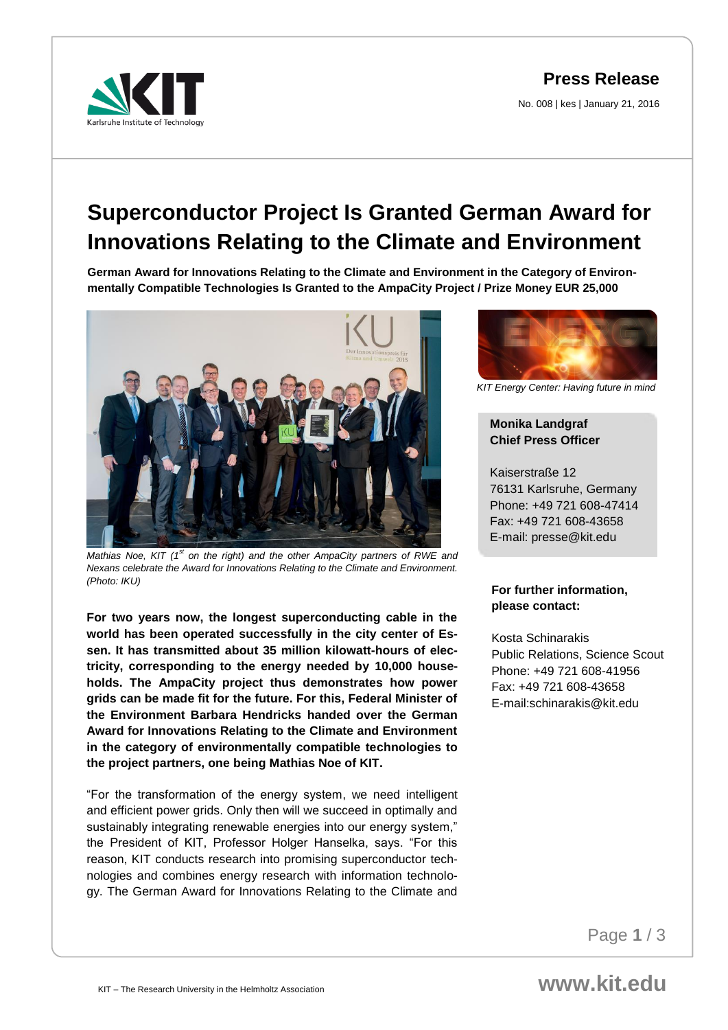**Press Release**

No. 008 | kes | January 21, 2016



# **Superconductor Project Is Granted German Award for Innovations Relating to the Climate and Environment**

**German Award for Innovations Relating to the Climate and Environment in the Category of Environmentally Compatible Technologies Is Granted to the AmpaCity Project / Prize Money EUR 25,000**



*Mathias Noe, KIT (1st on the right) and the other AmpaCity partners of RWE and Nexans celebrate the Award for Innovations Relating to the Climate and Environment. (Photo: IKU)*

**For two years now, the longest superconducting cable in the world has been operated successfully in the city center of Essen. It has transmitted about 35 million kilowatt-hours of electricity, corresponding to the energy needed by 10,000 households. The AmpaCity project thus demonstrates how power grids can be made fit for the future. For this, Federal Minister of the Environment Barbara Hendricks handed over the German Award for Innovations Relating to the Climate and Environment in the category of environmentally compatible technologies to the project partners, one being Mathias Noe of KIT.** 

"For the transformation of the energy system, we need intelligent and efficient power grids. Only then will we succeed in optimally and sustainably integrating renewable energies into our energy system," the President of KIT, Professor Holger Hanselka, says. "For this reason, KIT conducts research into promising superconductor technologies and combines energy research with information technology. The German Award for Innovations Relating to the Climate and



*KIT Energy Center: Having future in mind*

## **Monika Landgraf Chief Press Officer**

Kaiserstraße 12 76131 Karlsruhe, Germany Phone: +49 721 608-47414 Fax: +49 721 608-43658 E-mail: presse@kit.edu

#### **For further information, please contact:**

Kosta Schinarakis Public Relations, Science Scout Phone: +49 721 608-41956 Fax: +49 721 608-43658 E-mail:schinarakis@kit.edu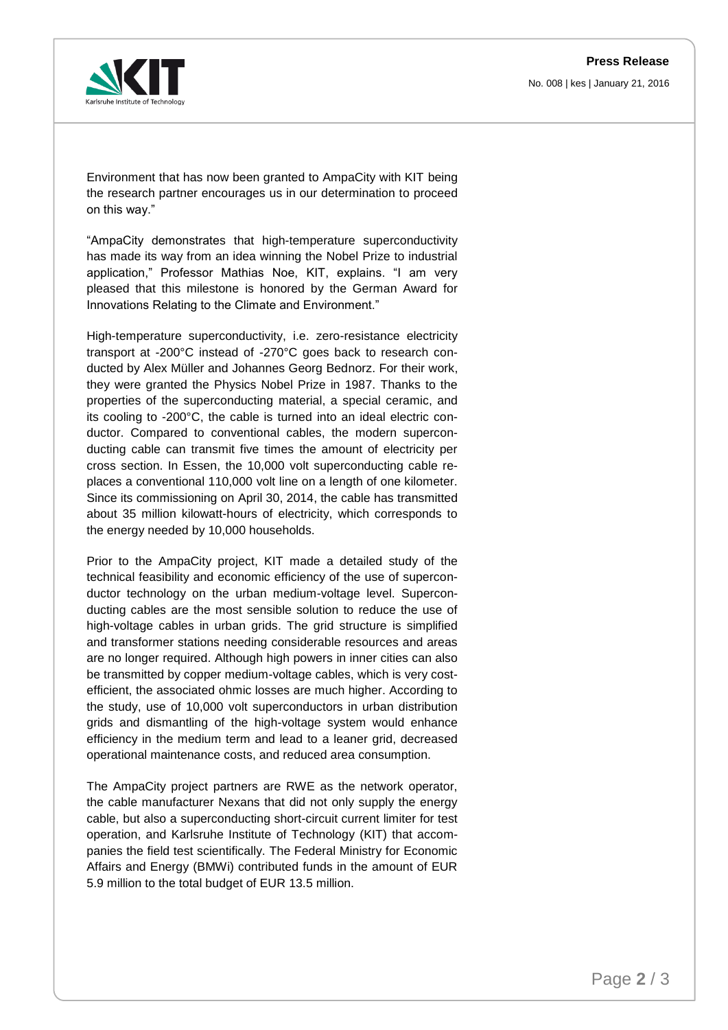No. 008 | kes | January 21, 2016



Environment that has now been granted to AmpaCity with KIT being the research partner encourages us in our determination to proceed on this way."

"AmpaCity demonstrates that high-temperature superconductivity has made its way from an idea winning the Nobel Prize to industrial application," Professor Mathias Noe, KIT, explains. "I am very pleased that this milestone is honored by the German Award for Innovations Relating to the Climate and Environment."

High-temperature superconductivity, i.e. zero-resistance electricity transport at -200°C instead of -270°C goes back to research conducted by Alex Müller and Johannes Georg Bednorz. For their work, they were granted the Physics Nobel Prize in 1987. Thanks to the properties of the superconducting material, a special ceramic, and its cooling to -200°C, the cable is turned into an ideal electric conductor. Compared to conventional cables, the modern superconducting cable can transmit five times the amount of electricity per cross section. In Essen, the 10,000 volt superconducting cable replaces a conventional 110,000 volt line on a length of one kilometer. Since its commissioning on April 30, 2014, the cable has transmitted about 35 million kilowatt-hours of electricity, which corresponds to the energy needed by 10,000 households.

Prior to the AmpaCity project, KIT made a detailed study of the technical feasibility and economic efficiency of the use of superconductor technology on the urban medium-voltage level. Superconducting cables are the most sensible solution to reduce the use of high-voltage cables in urban grids. The grid structure is simplified and transformer stations needing considerable resources and areas are no longer required. Although high powers in inner cities can also be transmitted by copper medium-voltage cables, which is very costefficient, the associated ohmic losses are much higher. According to the study, use of 10,000 volt superconductors in urban distribution grids and dismantling of the high-voltage system would enhance efficiency in the medium term and lead to a leaner grid, decreased operational maintenance costs, and reduced area consumption.

The AmpaCity project partners are RWE as the network operator, the cable manufacturer Nexans that did not only supply the energy cable, but also a superconducting short-circuit current limiter for test operation, and Karlsruhe Institute of Technology (KIT) that accompanies the field test scientifically. The Federal Ministry for Economic Affairs and Energy (BMWi) contributed funds in the amount of EUR 5.9 million to the total budget of EUR 13.5 million.